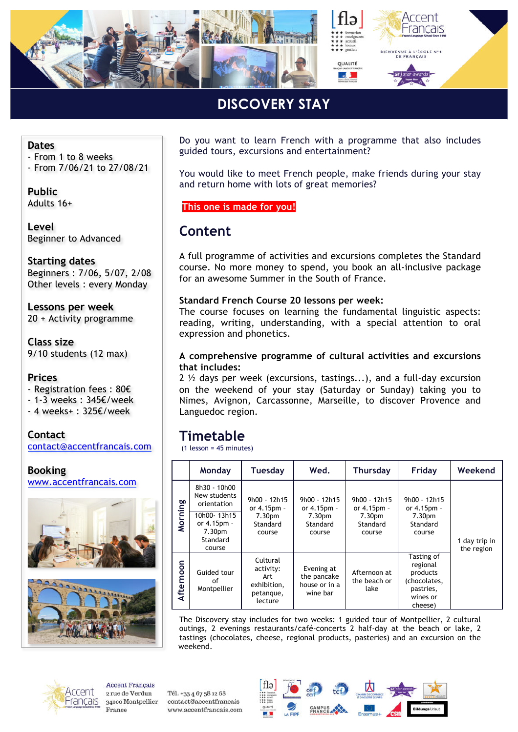

## **DISCOVERY STAY**

#### **Dates**

- From 1 to 8 weeks
- From 7/06/21 to 27/08/21

**Public** Adults 16+

**Level** Beginner to Advanced

**Starting dates** Beginners : 7/06, 5/07, 2/08 Other levels : every Monday

**Lessons per week** 20 + Activity programme

**Class size** 9/10 students (12 max)

#### **Prices**

- Registration fees : 80€

- 1-3 weeks : 345€/week
- 4 weeks+ : 325€/week









Do you want to learn French with a programme that also includes guided tours, excursions and entertainment?

You would like to meet French people, make friends during your stay and return home with lots of great memories?

**This one is made for you!** 

#### **Content**

A full programme of activities and excursions completes the Standard course. No more money to spend, you book an all-inclusive package for an awesome Summer in the South of France.

#### **Standard French Course 20 lessons per week:**

The course focuses on learning the fundamental linguistic aspects: reading, writing, understanding, with a special attention to oral expression and phonetics.

#### **A comprehensive programme of cultural activities and excursions that includes:**

2  $\frac{1}{2}$  days per week (excursions, tastings...), and a full-day excursion on the weekend of your stay (Saturday or Sunday) taking you to Nimes, Avignon, Carcassonne, Marseille, to discover Provence and Languedoc region.

### **Timetable**

(1 lesson = 45 minutes)

|           | Monday                                                     | <b>Tuesday</b>                                                      | Wed.                                                                      | <b>Thursday</b>                                               | Friday                                                                                 | Weekend                     |
|-----------|------------------------------------------------------------|---------------------------------------------------------------------|---------------------------------------------------------------------------|---------------------------------------------------------------|----------------------------------------------------------------------------------------|-----------------------------|
| Morning   | 8h30 - 10h00<br>New students<br>orientation                | $9h00 - 12h15$<br>or 4.15pm -<br>7.30pm<br>Standard<br>course       | $9h00 - 12h15$<br>or 4.15pm -<br>7.30 <sub>pm</sub><br>Standard<br>course | $9h00 - 12h15$<br>or 4.15pm -<br>7.30pm<br>Standard<br>course | 9h00 - 12h15<br>or 4.15pm -<br>7.30 <sub>pm</sub><br>Standard<br>course                | 1 day trip in<br>the region |
|           | 10h00-13h15<br>or 4.15pm -<br>7.30pm<br>Standard<br>course |                                                                     |                                                                           |                                                               |                                                                                        |                             |
| Afternoon | Guided tour<br>οf<br>Montpellier                           | Cultural<br>activity:<br>Art<br>exhibition,<br>petanque,<br>lecture | Evening at<br>the pancake<br>house or in a<br>wine bar                    | Afternoon at<br>the beach or<br>lake                          | Tasting of<br>regional<br>products<br>(chocolates,<br>pastries,<br>wines or<br>cheese) |                             |

The Discovery stay includes for two weeks: 1 guided tour of Montpellier, 2 cultural outings, 2 evenings restaurants/café-concerts 2 half-day at the beach or lake, 2 tastings (chocolates, cheese, regional products, pasteries) and an excursion on the weekend.



**Accent Francais** 2 rue de Verdun 34000 Montpellier France

Tél. +33 4 67 58 12 68 contact@accentfrancais www.accentfrancais.com